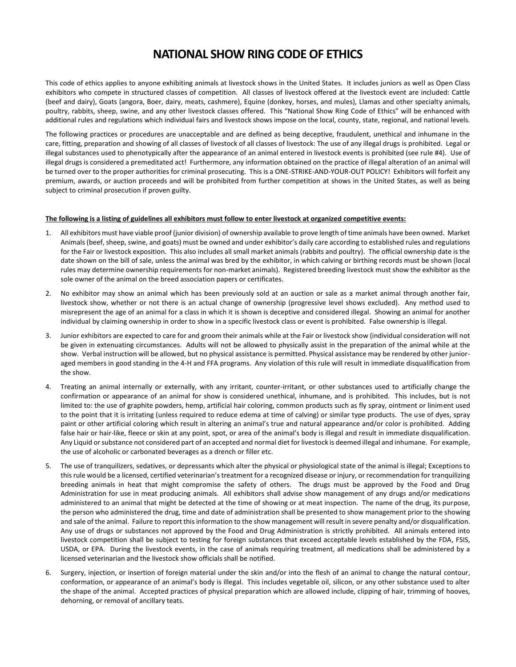## **NATIONAL SHOW RING CODE OF ETHICS**

This code of ethics applies to anyone exhibiting animals at livestock shows in the United States. It includes juniors as well as Open Class exhibitors who compete in structured classes of competition. All classes of livestock offered at the livestock event are included: Cattle (beef and dairy), Goats (angora, Boer, dairy, meats, cashmere), Equine (donkey, horses, and mules), Llamas and other specialty animals, poultry, rabbits, sheep, swine, and any other livestock classes offered. This "National Show Ring Code of Ethics" will be enhanced with additional rules and regulations which individual fairs and livestock shows impose on the local, county, state, regional, and national levels.

The following practices or procedures are unacceptable and are defined as being deceptive, fraudulent, unethical and inhumane in the care, fitting, preparation and showing of all classes of livestock of all classes of livestock: The use of any illegal drugs is prohibited. Legal or illegal substances used to phenotypically after the appearance of an animal entered in livestock events is prohibited (see rule #4). Use of illegal drugs is considered a premeditated act! Furthermore, any information obtained on the practice of illegal alteration of an animal will be turned over to the proper authorities for criminal prosecuting. This is a ONE-STRIKE-AND-YOUR-OUT POLICY! Exhibitors will forfeit any premium, awards, or auction proceeds and will be prohibited from further competition at shows in the United States, as well as being subject to criminal prosecution if proven guilty.

## **The following is a listing of guidelines all exhibitors must follow to enter livestock at organized competitive events:**

- 1. All exhibitors must have viable proof (junior division) of ownership available to prove length of time animals have been owned. Market Animals (beef, sheep, swine, and goats) must be owned and under exhibitor's daily care according to established rules and regulations for the Fair or livestock exposition. This also includes all small market animals (rabbits and poultry). The official ownership date is the date shown on the bill of sale, unless the animal was bred by the exhibitor, in which calving or birthing records must be shown (local rules may determine ownership requirements for non-market animals). Registered breeding livestock must show the exhibitor as the sole owner of the animal on the breed association papers or certificates.
- 2. No exhibitor may show an animal which has been previously sold at an auction or sale as a market animal through another fair, livestock show, whether or not there is an actual change of ownership (progressive level shows excluded). Any method used to misrepresent the age of an animal for a class in which it is shown is deceptive and considered illegal. Showing an animal for another individual by claiming ownership in order to show in a specific livestock class or event is prohibited. False ownership is illegal.
- 3. Junior exhibitors are expected to care for and groom their animals while at the Fair or livestock show (individual consideration will not be given in extenuating circumstances. Adults will not be allowed to physically assist in the preparation of the animal while at the show. Verbal instruction will be allowed, but no physical assistance is permitted. Physical assistance may be rendered by other junioraged members in good standing in the 4-H and FFA programs. Any violation of this rule will result in immediate disqualification from the show.
- 4. Treating an animal internally or externally, with any irritant, counter-irritant, or other substances used to artificially change the confirmation or appearance of an animal for show is considered unethical, inhumane, and is prohibited. This includes, but is not limited to: the use of graphite powders, hemp, artificial hair coloring, common products such as fly spray, ointment or liniment used to the point that it is irritating (unless required to reduce edema at time of calving) or similar type products. The use of dyes, spray paint or other artificial coloring which result in altering an animal's true and natural appearance and/or color is prohibited. Adding false hair or hair-like, fleece or skin at any point, spot, or area of the animal's body is illegal and result in immediate disqualification. Any Liquid or substance not considered part of an accepted and normal diet for livestock is deemed illegal and inhumane. For example, the use of alcoholic or carbonated beverages as a drench or filler etc.
- 5. The use of tranquilizers, sedatives, or depressants which alter the physical or physiological state of the animal is illegal; Exceptions to this rule would be a licensed, certified veterinarian's treatment for a recognized disease or injury, or recommendation for tranquilizing breeding animals in heat that might compromise the safety of others. The drugs must be approved by the Food and Drug Administration for use in meat producing animals. All exhibitors shall advise show management of any drugs and/or medications administered to an animal that might be detected at the time of showing or at meat inspection. The name of the drug, its purpose, the person who administered the drug, time and date of administration shall be presented to show management prior to the showing and sale of the animal. Failure to report this information to the show management will result in severe penalty and/or disqualification. Any use of drugs or substances not approved by the Food and Drug Administration is strictly prohibited. All animals entered into livestock competition shall be subject to testing for foreign substances that exceed acceptable levels established by the FDA, FSIS, USDA, or EPA. During the livestock events, in the case of animals requiring treatment, all medications shall be administered by a licensed veterinarian and the livestock show officials shall be notified.
- 6. Surgery, injection, or insertion of foreign material under the skin and/or into the flesh of an animal to change the natural contour, conformation, or appearance of an animal's body is illegal. This includes vegetable oil, silicon, or any other substance used to alter the shape of the animal. Accepted practices of physical preparation which are allowed include, clipping of hair, trimming of hooves, dehorning, or removal of ancillary teats.